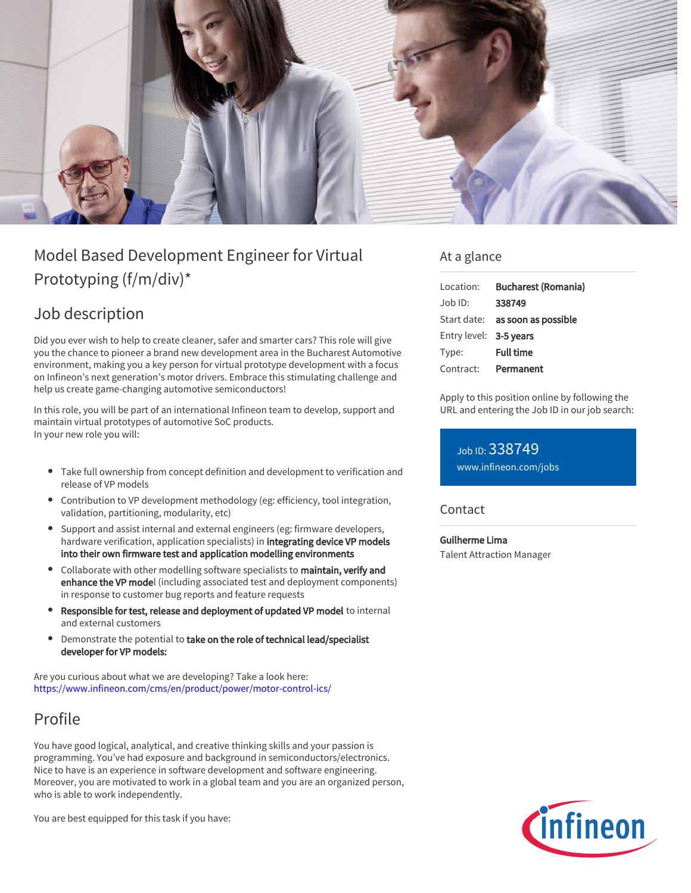

# Model Based Development Engineer for Virtual Prototyping (f/m/div)\*

# Job description

Did you ever wish to help to create cleaner, safer and smarter cars? This role will give you the chance to pioneer a brand new development area in the Bucharest Automotive environment, making you a key person for virtual prototype development with a focus on Infineon's next generation's motor drivers. Embrace this stimulating challenge and help us create game-changing automotive semiconductors!

In this role, you will be part of an international Infineon team to develop, support and maintain virtual prototypes of automotive SoC products. In your new role you will:

- Take full ownership from concept definition and development to verification and release of VP models
- Contribution to VP development methodology (eg: efficiency, tool integration, validation, partitioning, modularity, etc)
- Support and assist internal and external engineers (eg: firmware developers, hardware verification, application specialists) in integrating device VP models into their own firmware test and application modelling environments
- Collaborate with other modelling software specialists to maintain, verify and enhance the VP model (including associated test and deployment components) in response to customer bug reports and feature requests
- Responsible for test, release and deployment of updated VP model to internal and external customers
- Demonstrate the potential to take on the role of technical lead/specialist developer for VP models:

Are you curious about what we are developing? Take a look here: <https://www.infineon.com/cms/en/product/power/motor-control-ics/>

## Profile

You have good logical, analytical, and creative thinking skills and your passion is programming. You've had exposure and background in semiconductors/electronics. Nice to have is an experience in software development and software engineering. Moreover, you are motivated to work in a global team and you are an organized person, who is able to work independently.

You are best equipped for this task if you have:

#### At a glance

| Location:              | <b>Bucharest (Romania)</b>      |
|------------------------|---------------------------------|
| $Joh$ ID:              | 338749                          |
|                        | Start date: as soon as possible |
| Entry level: 3-5 years |                                 |
| Type:                  | <b>Full time</b>                |
| Contract:              | Permanent                       |

Apply to this position online by following the URL and entering the Job ID in our job search:

Job ID: 338749 [www.infineon.com/jobs](https://www.infineon.com/jobs)

#### **Contact**

Guilherme Lima Talent Attraction Manager